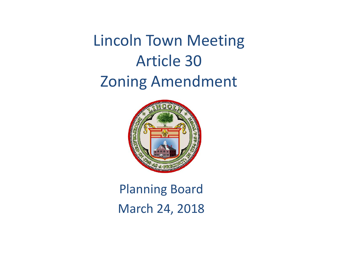Lincoln Town Meeting Article 30 Zoning Amendment



### Planning Board March 24, 2018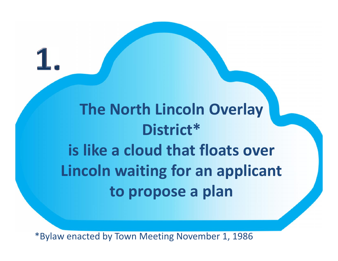**The North Lincoln Overlay District\* is like a cloud that floats over Lincoln waiting for an applicant to propose a plan**

\*Bylaw enacted by Town Meeting November 1, 1986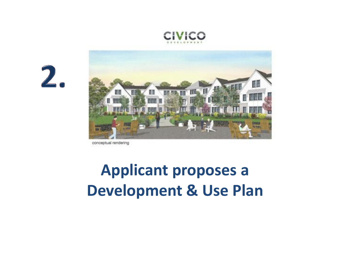





conceptual rendering

## **Applicant proposes a Development & Use Plan**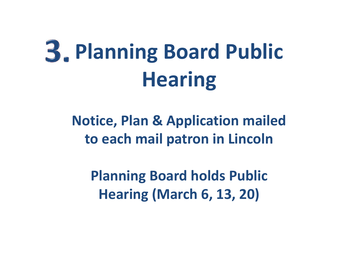# **Planning Board Public Hearing**

**Notice, Plan & Application mailed to each mail patron in Lincoln**

**Planning Board holds Public Hearing (March 6, 13, 20)**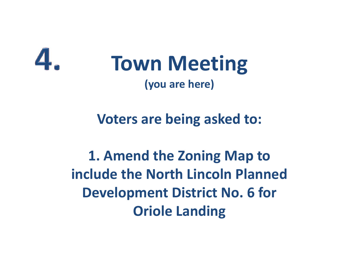

## **Town Meeting (you are here)**

#### **Voters are being asked to:**

**1. Amend the Zoning Map to include the North Lincoln Planned Development District No. 6 for Oriole Landing**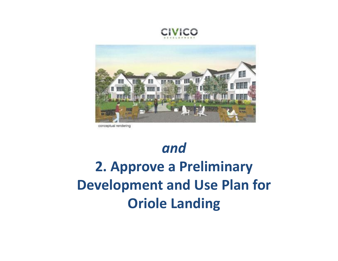



conceptual rendering

## *and* **2. Approve a Preliminary Development and Use Plan for Oriole Landing**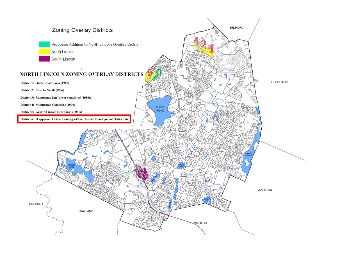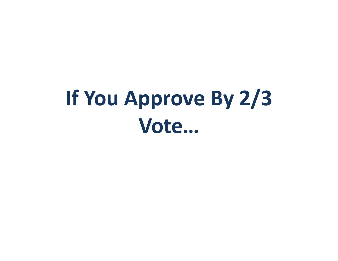## **If You Approve By 2/3 Vote…**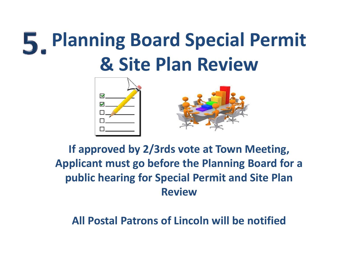## **Planning Board Special Permit & Site Plan Review**



#### **If approved by 2/3rds vote at Town Meeting, Applicant must go before the Planning Board for a public hearing for Special Permit and Site Plan Review**

**All Postal Patrons of Lincoln will be notified**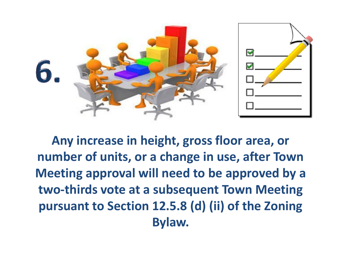

**Any increase in height, gross floor area, or number of units, or a change in use, after Town Meeting approval will need to be approved by a two-thirds vote at a subsequent Town Meeting pursuant to Section 12.5.8 (d) (ii) of the Zoning Bylaw.**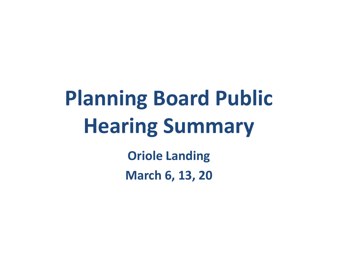## **Planning Board Public Hearing Summary**

**Oriole Landing March 6, 13, 20**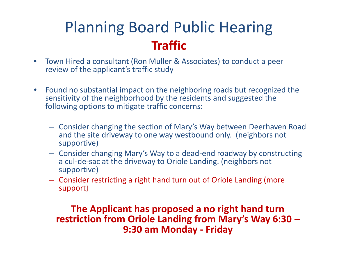### Planning Board Public Hearing **Traffic**

- Town Hired a consultant (Ron Muller & Associates) to conduct a peer review of the applicant's traffic study
- Found no substantial impact on the neighboring roads but recognized the sensitivity of the neighborhood by the residents and suggested the following options to mitigate traffic concerns:
	- Consider changing the section of Mary's Way between Deerhaven Road and the site driveway to one way westbound only. (neighbors not supportive)
	- Consider changing Mary's Way to a dead-end roadway by constructing a cul-de-sac at the driveway to Oriole Landing. (neighbors not supportive)
	- Consider restricting a right hand turn out of Oriole Landing (more support)

### **The Applicant has proposed a no right hand turn restriction from Oriole Landing from Mary's Way 6:30 – 9:30 am Monday - Friday**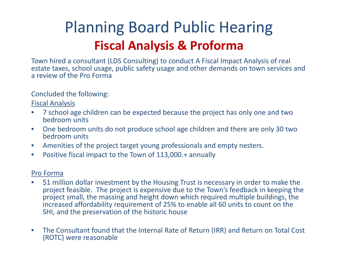## Planning Board Public Hearing **Fiscal Analysis & Proforma**

Town hired a consultant (LDS Consulting) to conduct A Fiscal Impact Analysis of real estate taxes, school usage, public safety usage and other demands on town services and a review of the Pro Forma

Concluded the following:

Fiscal Analysis

- 7 school age children can be expected because the project has only one and two bedroom units
- One bedroom units do not produce school age children and there are only 30 two bedroom units
- Amenities of the project target young professionals and empty nesters.
- Positive fiscal impact to the Town of 113,000.+ annually

#### Pro Forma

- \$1 million dollar investment by the Housing Trust is necessary in order to make the project feasible. The project is expensive due to the Town's feedback in keeping the project small, the massing and height down which required multiple buildings, the increased affordability requirement of 25% to enable all 60 units to count on the SHI, and the preservation of the historic house
- The Consultant found that the Internal Rate of Return (IRR) and Return on Total Cost (ROTC) were reasonable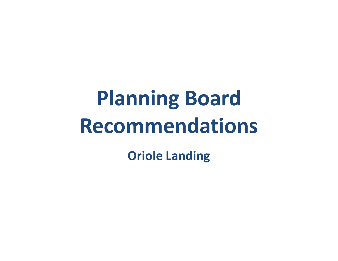# **Planning Board Recommendations**

**Oriole Landing**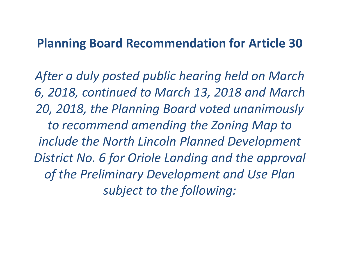#### **Planning Board Recommendation for Article 30**

*After a duly posted public hearing held on March 6, 2018, continued to March 13, 2018 and March 20, 2018, the Planning Board voted unanimously to recommend amending the Zoning Map to include the North Lincoln Planned Development District No. 6 for Oriole Landing and the approval of the Preliminary Development and Use Plan subject to the following:*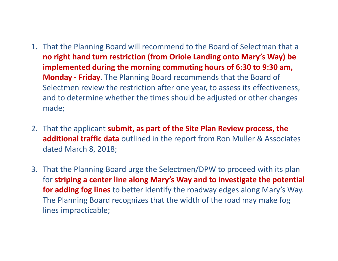- 1. That the Planning Board will recommend to the Board of Selectman that a **no right hand turn restriction (from Oriole Landing onto Mary's Way) be implemented during the morning commuting hours of 6:30 to 9:30 am, Monday - Friday**. The Planning Board recommends that the Board of Selectmen review the restriction after one year, to assess its effectiveness, and to determine whether the times should be adjusted or other changes made;
- 2. That the applicant **submit, as part of the Site Plan Review process, the additional traffic data** outlined in the report from Ron Muller & Associates dated March 8, 2018;
- 3. That the Planning Board urge the Selectmen/DPW to proceed with its plan for **striping a center line along Mary's Way and to investigate the potential for adding fog lines** to better identify the roadway edges along Mary's Way. The Planning Board recognizes that the width of the road may make fog lines impracticable;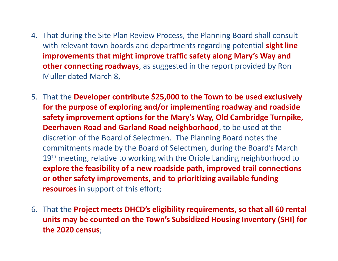- 4. That during the Site Plan Review Process, the Planning Board shall consult with relevant town boards and departments regarding potential **sight line improvements that might improve traffic safety along Mary's Way and other connecting roadways**, as suggested in the report provided by Ron Muller dated March 8,
- 5. That the **Developer contribute \$25,000 to the Town to be used exclusively for the purpose of exploring and/or implementing roadway and roadside safety improvement options for the Mary's Way, Old Cambridge Turnpike, Deerhaven Road and Garland Road neighborhood**, to be used at the discretion of the Board of Selectmen. The Planning Board notes the commitments made by the Board of Selectmen, during the Board's March 19<sup>th</sup> meeting, relative to working with the Oriole Landing neighborhood to **explore the feasibility of a new roadside path, improved trail connections or other safety improvements, and to prioritizing available funding resources** in support of this effort;
- 6. That the **Project meets DHCD's eligibility requirements, so that all 60 rental units may be counted on the Town's Subsidized Housing Inventory (SHI) for the 2020 census**;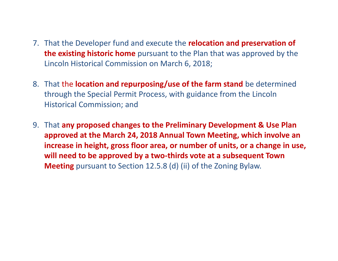- 7. That the Developer fund and execute the **relocation and preservation of the existing historic home** pursuant to the Plan that was approved by the Lincoln Historical Commission on March 6, 2018;
- 8. That the **location and repurposing/use of the farm stand** be determined through the Special Permit Process, with guidance from the Lincoln Historical Commission; and
- 9. That **any proposed changes to the Preliminary Development & Use Plan approved at the March 24, 2018 Annual Town Meeting, which involve an increase in height, gross floor area, or number of units, or a change in use, will need to be approved by a two-thirds vote at a subsequent Town Meeting** pursuant to Section 12.5.8 (d) (ii) of the Zoning Bylaw.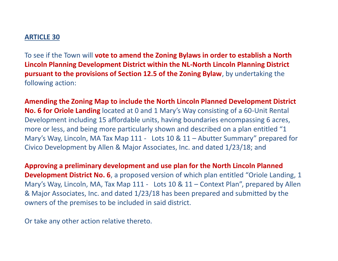#### **ARTICLE 30**

To see if the Town will **vote to amend the Zoning Bylaws in order to establish a North Lincoln Planning Development District within the NL-North Lincoln Planning District pursuant to the provisions of Section 12.5 of the Zoning Bylaw**, by undertaking the following action:

**Amending the Zoning Map to include the North Lincoln Planned Development District No. 6 for Oriole Landing** located at 0 and 1 Mary's Way consisting of a 60-Unit Rental Development including 15 affordable units, having boundaries encompassing 6 acres, more or less, and being more particularly shown and described on a plan entitled "1 Mary's Way, Lincoln, MA Tax Map 111 - Lots 10 & 11 – Abutter Summary" prepared for Civico Development by Allen & Major Associates, Inc. and dated 1/23/18; and

**Approving a preliminary development and use plan for the North Lincoln Planned Development District No. 6**, a proposed version of which plan entitled "Oriole Landing, 1 Mary's Way, Lincoln, MA, Tax Map 111 - Lots 10 & 11 – Context Plan", prepared by Allen & Major Associates, Inc. and dated 1/23/18 has been prepared and submitted by the owners of the premises to be included in said district.

Or take any other action relative thereto.